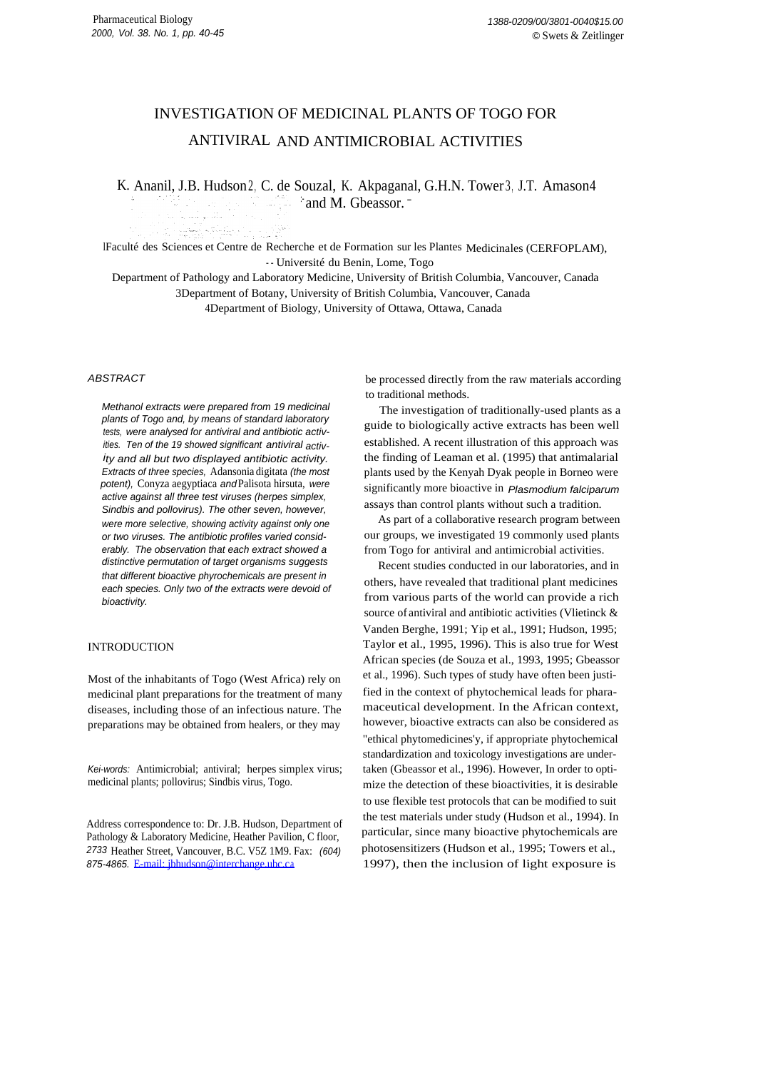# INVESTIGATION OF MEDICINAL PLANTS OF TOGO FOR ANTIVIRAL AND ANTIMICROBIAL ACTIVITIES

K. Ananil, J.B. Hudson2, C. de Souzal, K. Akpaganal, G.H.N. Tower3, J.T. Amason4  $\therefore$  and M. Gbeassor.  $\overline{\phantom{a}}$ ta ang pang

lFaculté des Sciences et Centre de Recherche et de Formation sur les Plantes Medicinales (CERFOPLAM), - - Université du Benin, Lome, Togo

Department of Pathology and Laboratory Medicine, University of British Columbia, Vancouver, Canada 3Department of Botany, University of British Columbia, Vancouver, Canada

4Department of Biology, University of Ottawa, Ottawa, Canada

# ABSTRACT

Methanol extracts were prepared from 19 medicinal plants of Togo and, by means of standard laboratory tests, were analysed for antiviral and antibiotic activities. Ten of the 19 showed significant antiviral activity and all but two displayed antibiotic activity. Extracts of three species, Adansonia digitata (the most potent), Conyza aegyptiaca andPalisota hirsuta, were active against all three test viruses (herpes simplex, Sindbis and pollovirus). The other seven, however, were more selective, showing activity against only one or two viruses. The antibiotic profiles varied considerably. The observation that each extract showed a distinctive permutation of target organisms suggests that different bioactive phyrochemicals are present in each species. Only two of the extracts were devoid of bioactivity.

in a la<del>nd</del> states in <sub>19</sub>27

# **INTRODUCTION**

Most of the inhabitants of Togo (West Africa) rely on medicinal plant preparations for the treatment of many diseases, including those of an infectious nature. The preparations may be obtained from healers, or they may

Kei-words: Antimicrobial; antiviral; herpes simplex virus; medicinal plants; pollovirus; Sindbis virus, Togo.

Address correspondence to: Dr. J.B. Hudson, Department of Pathology & Laboratory Medicine, Heather Pavilion, C floor, 2733 Heather Street, Vancouver, B.C. V5Z 1M9. Fax: (604) 875-4865. [E-mail: jbhudson@interchange.ubc.ca](mailto:jbhudson@interchange.ubc.ca)

be processed directly from the raw materials according to traditional methods.

The investigation of traditionally-used plants as a guide to biologically active extracts has been well established. A recent illustration of this approach was the finding of Leaman et al. (1995) that antimalarial plants used by the Kenyah Dyak people in Borneo were significantly more bioactive in Plasmodium falciparum assays than control plants without such a tradition.

As part of a collaborative research program between our groups, we investigated 19 commonly used plants from Togo for antiviral and antimicrobial activities.

Recent studies conducted in our laboratories, and in others, have revealed that traditional plant medicines from various parts of the world can provide a rich source of antiviral and antibiotic activities (Vlietinck & Vanden Berghe, 1991; Yip et al., 1991; Hudson, 1995; Taylor et al., 1995, 1996). This is also true for West African species (de Souza et al., 1993, 1995; Gbeassor et al., 1996). Such types of study have often been justified in the context of phytochemical leads for pharamaceutical development. In the African context, however, bioactive extracts can also be considered as "ethical phytomedicines'y, if appropriate phytochemical standardization and toxicology investigations are undertaken (Gbeassor et al., 1996). However, In order to optimize the detection of these bioactivities, it is desirable to use flexible test protocols that can be modified to suit the test materials under study (Hudson et al., 1994). In particular, since many bioactive phytochemicals are photosensitizers (Hudson et al., 1995; Towers et al., 1997), then the inclusion of light exposure is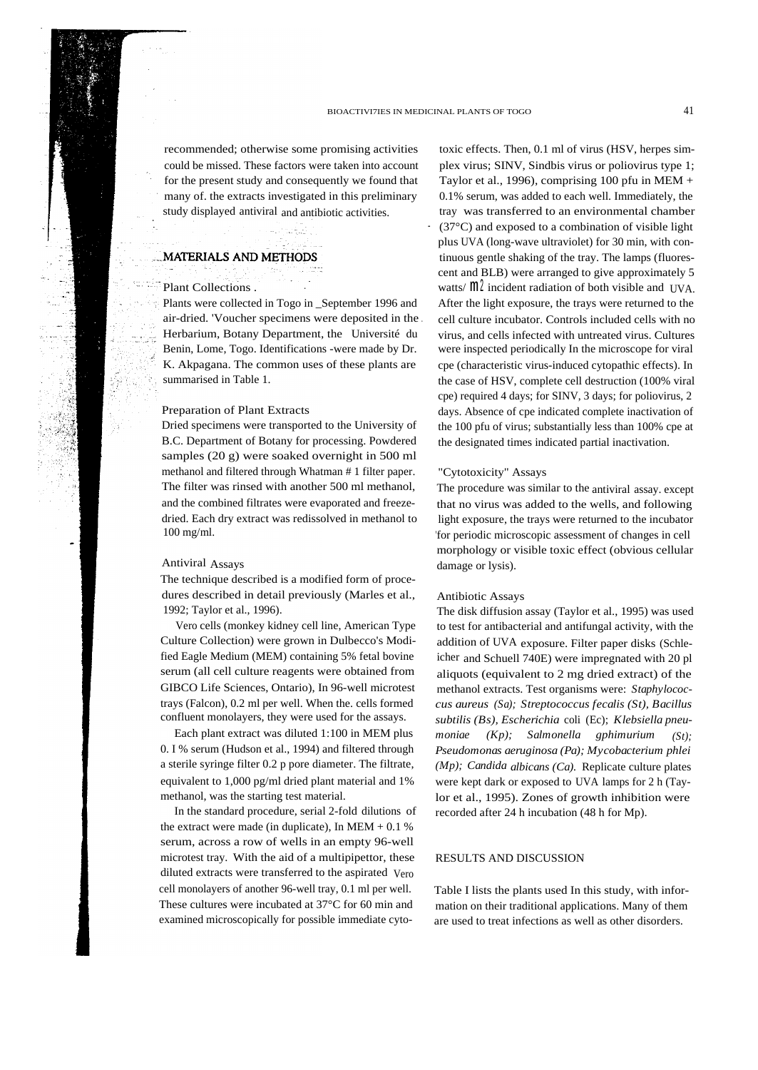recommended; otherwise some promising activities could be missed. These factors were taken into account for the present study and consequently we found that many of. the extracts investigated in this preliminary study displayed antiviral and antibiotic activities.

## **MATERIALS AND METHODS**

# Plant Collections

Plants were collected in Togo in September 1996 and air-dried. 'Voucher specimens were deposited in the . Herbarium, Botany Department, the Université du Benin, Lome, Togo. Identifications -were made by Dr. K. Akpagana. The common uses of these plants are summarised in Table 1.

### Preparation of Plant Extracts

Dried specimens were transported to the University of B.C. Department of Botany for processing. Powdered samples (20 g) were soaked overnight in 500 ml methanol and filtered through Whatman # 1 filter paper. The filter was rinsed with another 500 ml methanol, and the combined filtrates were evaporated and freezedried. Each dry extract was redissolved in methanol to 100 mg/ml.

#### Antiviral Assays

The technique described is a modified form of procedures described in detail previously (Marles et al., 1992; Taylor et al., 1996).

Vero cells (monkey kidney cell line, American Type Culture Collection) were grown in Dulbecco's Modified Eagle Medium (MEM) containing 5% fetal bovine serum (all cell culture reagents were obtained from GIBCO Life Sciences, Ontario), In 96-well microtest trays (Falcon), 0.2 ml per well. When the. cells formed confluent monolayers, they were used for the assays.

Each plant extract was diluted 1:100 in MEM plus 0. I % serum (Hudson et al., 1994) and filtered through a sterile syringe filter 0.2 p pore diameter. The filtrate, equivalent to 1,000 pg/ml dried plant material and 1% methanol, was the starting test material.

In the standard procedure, serial 2-fold dilutions of the extract were made (in duplicate), In MEM  $+ 0.1$  % serum, across a row of wells in an empty 96-well microtest tray. With the aid of a multipipettor, these diluted extracts were transferred to the aspirated Vero cell monolayers of another 96-well tray, 0.1 ml per well. These cultures were incubated at 37°C for 60 min and examined microscopically for possible immediate cyto-

toxic effects. Then, 0.1 ml of virus (HSV, herpes simplex virus; SINV, Sindbis virus or poliovirus type 1; Taylor et al., 1996), comprising 100 pfu in MEM  $+$ 0.1% serum, was added to each well. Immediately, the tray was transferred to an environmental chamber  $(37^{\circ}$ C) and exposed to a combination of visible light plus UVA (long-wave ultraviolet) for 30 min, with continuous gentle shaking of the tray. The lamps (fluorescent and BLB) were arranged to give approximately 5 watts/ $m<sup>2</sup>$  incident radiation of both visible and UVA. After the light exposure, the trays were returned to the cell culture incubator. Controls included cells with no virus, and cells infected with untreated virus. Cultures were inspected periodically In the microscope for viral cpe (characteristic virus-induced cytopathic effects). In the case of HSV, complete cell destruction (100% viral cpe) required 4 days; for SINV, 3 days; for poliovirus, 2 days. Absence of cpe indicated complete inactivation of the 100 pfu of virus; substantially less than 100% cpe at the designated times indicated partial inactivation.

## "Cytotoxicity" Assays

The procedure was similar to the antiviral assay. except that no virus was added to the wells, and following light exposure, the trays were returned to the incubator 'for periodic microscopic assessment of changes in cell morphology or visible toxic effect (obvious cellular damage or lysis).

## Antibiotic Assays

The disk diffusion assay (Taylor et al., 1995) was used to test for antibacterial and antifungal activity, with the addition of UVA exposure. Filter paper disks (Schleicher and Schuell 740E) were impregnated with 20 pl aliquots (equivalent to 2 mg dried extract) of the methanol extracts. Test organisms were: *Staphylococcus aureus (Sa); Streptococcus fecalis (St), Bacillus subtilis (Bs), Escherichia* coli (Ec); *Klebsiella pneumoniae (Kp); Salmonella gphimurium (St); Pseudomonas aeruginosa (Pa); Mycobacterium phlei (Mp); Candida albicans (Ca).* Replicate culture plates were kept dark or exposed to UVA lamps for 2 h (Taylor et al., 1995). Zones of growth inhibition were recorded after 24 h incubation (48 h for Mp).

#### RESULTS AND DISCUSSION

Table I lists the plants used In this study, with information on their traditional applications. Many of them are used to treat infections as well as other disorders.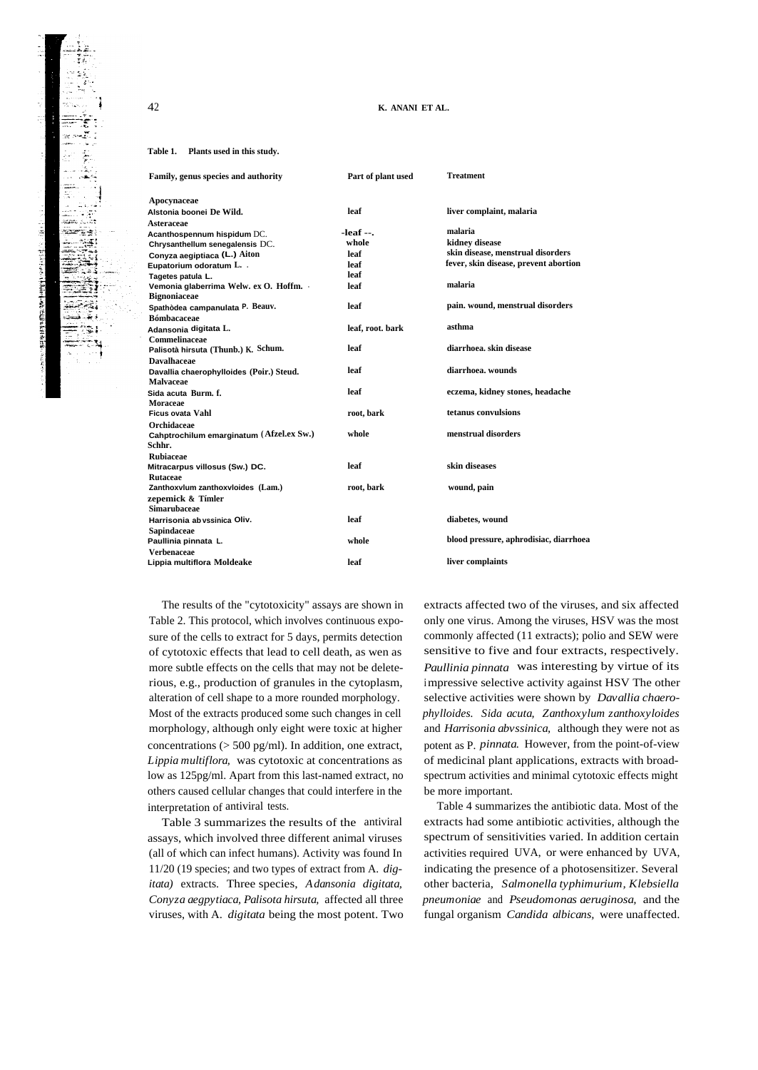## **K. ANANI ET AL.**

#### **Table 1. Plants used in this study.**

|                  | Treatment                                  |
|------------------|--------------------------------------------|
|                  |                                            |
| leaf             | liver complaint, malaria                   |
|                  |                                            |
|                  | malaria                                    |
|                  | kidney disease                             |
| leaf             | skin disease, menstrual disorders          |
| leaf             | fever, skin disease, prevent abortion      |
| leaf             |                                            |
| leaf             | malaria                                    |
|                  |                                            |
| leaf             | pain. wound, menstrual disorders           |
| leaf, root. bark | asthma                                     |
|                  |                                            |
| leaf             | diarrhoea, skin disease                    |
|                  |                                            |
| leaf             | diarrhoea. wounds                          |
|                  |                                            |
| leaf             | eczema, kidney stones, headache            |
|                  |                                            |
| root, bark       | tetanus convulsions                        |
|                  |                                            |
| whole            | menstrual disorders                        |
|                  |                                            |
|                  |                                            |
| leaf             | skin diseases                              |
|                  |                                            |
| root, bark       | wound, pain                                |
|                  |                                            |
|                  |                                            |
| leaf             | diabetes, wound                            |
|                  |                                            |
| whole            | blood pressure, aphrodisiac, diarrhoea     |
|                  |                                            |
| leaf             | liver complaints                           |
|                  | Part of plant used<br>$-leaf -$ .<br>whole |

The results of the "cytotoxicity" assays are shown in Table 2. This protocol, which involves continuous exposure of the cells to extract for 5 days, permits detection of cytotoxic effects that lead to cell death, as wen as more subtle effects on the cells that may not be deleterious, e.g., production of granules in the cytoplasm, alteration of cell shape to a more rounded morphology. Most of the extracts produced some such changes in cell morphology, although only eight were toxic at higher concentrations (> 500 pg/ml). In addition, one extract, *Lippia multiflora,* was cytotoxic at concentrations as low as 125pg/ml. Apart from this last-named extract, no others caused cellular changes that could interfere in the interpretation of antiviral tests.

Table 3 summarizes the results of the antiviral assays, which involved three different animal viruses (all of which can infect humans). Activity was found In 11/20 (19 species; and two types of extract from A. *digitata)* extracts. Three species, *Adansonia digitata, Conyza aegpytiaca, Palisota hirsuta,* affected all three viruses, with A. *digitata* being the most potent. Two

extracts affected two of the viruses, and six affected only one virus. Among the viruses, HSV was the most commonly affected (11 extracts); polio and SEW were sensitive to five and four extracts, respectively. *Paullinia pinnata* was interesting by virtue of its impressive selective activity against HSV The other selective activities were shown by *Davallia chaerophylloides. Sida acuta, Zanthoxylum zanthoxyloides* and *Harrisonia abvssinica,* although they were not as potent as P. *pinnata.* However, from the point-of-view of medicinal plant applications, extracts with broadspectrum activities and minimal cytotoxic effects might be more important.

Table 4 summarizes the antibiotic data. Most of the extracts had some antibiotic activities, although the spectrum of sensitivities varied. In addition certain activities required UVA, or were enhanced by UVA, indicating the presence of a photosensitizer. Several other bacteria, *Salmonella typhimurium, Klebsiella pneumoniae* and *Pseudomonas aeruginosa,* and the fungal organism *Candida albicans,* were unaffected.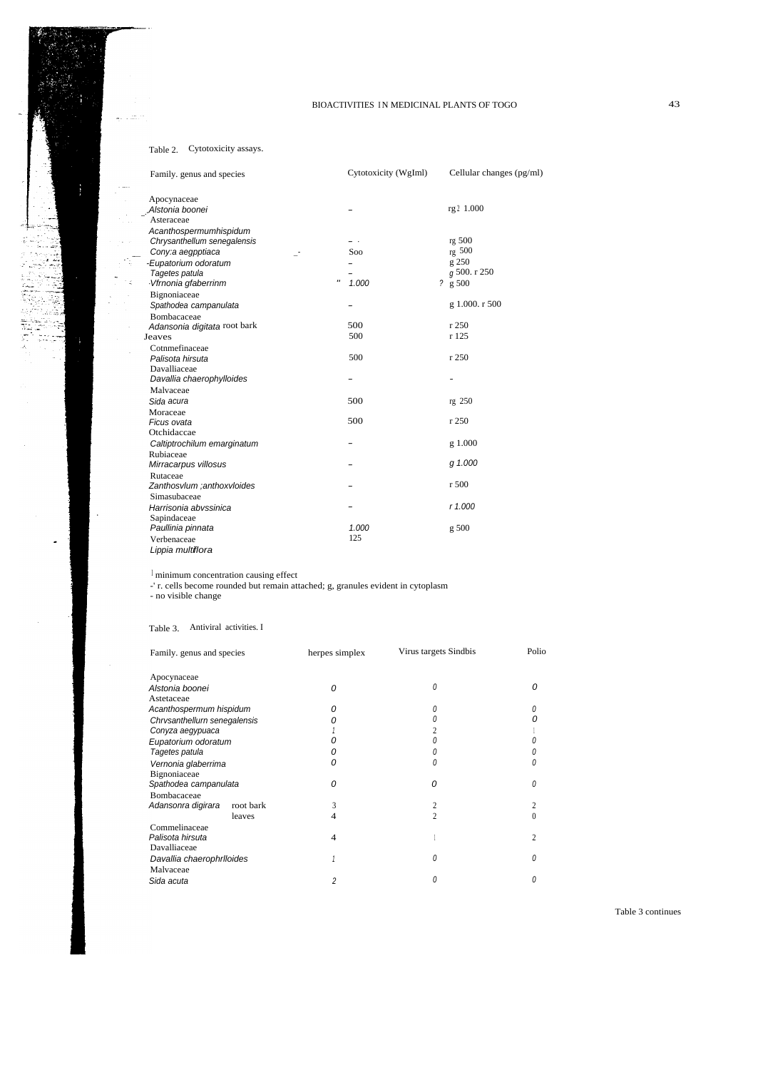# Table 2. Cytotoxicity assays.

 $\mathcal{L}_{\text{max}}^{(1)}$  .

.....

 $\frac{1}{2}$ 

 $\mathbb{F}_2^{\mathbb{Z}}$ 

| Family. genus and species      | Cytotoxicity (WgIml) | Cellular changes (pg/ml) |
|--------------------------------|----------------------|--------------------------|
| Apocynaceae<br>Alstonia boonei |                      | rg 2 1.000               |
| Asteraceae                     |                      |                          |
|                                |                      |                          |
| Acanthospermumhispidum         |                      | rg 500                   |
| Chrysanthellum senegalensis    | Soo                  | rg 500                   |
| Cony:a aegpptiaca              |                      |                          |
| -Eupatorium odoratum           |                      | g 250                    |
| Tagetes patula                 | $^{\prime\prime}$    | g 500. r 250             |
| Vfrnonia gfaberrinm            | 1.000                | 2 g 500                  |
| Bignoniaceae                   |                      |                          |
| Spathodea campanulata          |                      | g 1.000. r 500           |
| Bombacaceae                    |                      |                          |
| Adansonia digitata root bark   | 500                  | r250                     |
| Jeaves                         | 500                  | r 125                    |
| Cotnmefinaceae                 |                      |                          |
| Palisota hirsuta               | 500                  | r250                     |
| Davalliaceae                   |                      |                          |
| Davallia chaerophylloides      |                      |                          |
| Malvaceae                      |                      |                          |
| Sida acura                     | 500                  | rg 250                   |
| Moraceae                       |                      |                          |
| Ficus ovata                    | 500                  | r 250                    |
| Otchidaccae                    |                      |                          |
| Caltiptrochilum emarginatum    |                      | g 1.000                  |
| Rubiaceae                      |                      |                          |
| Mirracarpus villosus           |                      | g 1.000                  |
| Rutaceae                       |                      |                          |
| Zanthosvlum ;anthoxvloides     |                      | r500                     |
| Simasubaceae                   |                      |                          |
| Harrisonia abvssinica          |                      | r 1.000                  |
| Sapindaceae                    |                      |                          |
| Paullinia pinnata              | 1.000                | g500                     |
| Verbenaceae                    | 125                  |                          |
| Lippia multiflora              |                      |                          |
|                                |                      |                          |

 ${}^{\mathrm{I}}$  minimum concentration causing effect

-' r. cells become rounded but remain attached; g, granules evident in cytoplasm - no visible change

## Table 3. Antiviral activities. I

| Family, genus and species    |           | herpes simplex | Virus targets Sindbis | Polio |
|------------------------------|-----------|----------------|-----------------------|-------|
| Apocynaceae                  |           |                |                       |       |
| Alstonia boonei              |           | 0              | 0                     | 0     |
| Astetaceae                   |           |                |                       |       |
| Acanthospermum hispidum      |           | Ω              | 0                     |       |
| Chrvsanthellurn senegalensis |           |                |                       |       |
| Conyza aegypuaca             |           |                |                       |       |
| Eupatorium odoratum          |           |                |                       |       |
| Tagetes patula               |           |                |                       |       |
| Vernonia glaberrima          |           | 0              | 0                     |       |
| Bignoniaceae                 |           |                |                       |       |
| Spathodea campanulata        |           | 0              | O                     |       |
| Bombacaceae                  |           |                |                       |       |
| Adansonra digirara           | root bark | 3              | 2                     |       |
|                              | leaves    | 4              | $\mathfrak{D}$        |       |
| Commelinaceae                |           |                |                       |       |
| Palisota hirsuta             |           | $\overline{4}$ |                       |       |
| Davalliaceae                 |           |                |                       |       |
| Davallia chaerophrlloides    |           |                | 0                     |       |
| Malvaceae                    |           |                |                       |       |
| Sida acuta                   |           | 2              | Ω                     |       |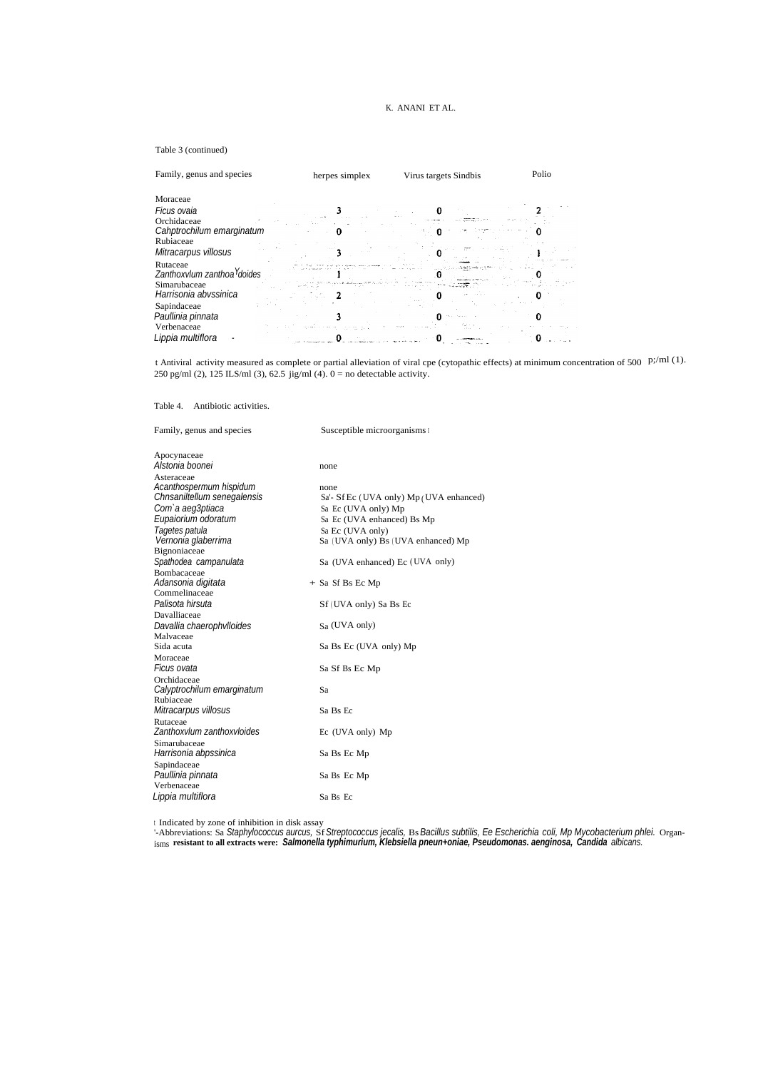## K. ANANI ET AL.

#### Table 3 (continued)

| Family, genus and species                           | herpes simplex | Virus targets Sindbis | Polio |
|-----------------------------------------------------|----------------|-----------------------|-------|
| Moraceae                                            |                |                       |       |
| Ficus ovaia                                         |                |                       |       |
| Orchidaceae<br>Cahptrochilum emarginatum            |                |                       |       |
| Rubiaceae                                           |                |                       |       |
| Mitracarpus villosus                                |                |                       |       |
| Rutaceae<br>Zanthoxylum zanthoa <sup>Y</sup> doides |                |                       |       |
| Simarubaceae<br>Harrisonia abvssinica               |                |                       |       |
| Sapindaceae<br>Paullinia pinnata                    |                |                       |       |
| Verbenaceae<br>Lippia multiflora                    |                |                       |       |

t Antiviral activity measured as complete or partial alleviation of viral cpe (cytopathic effects) at minimum concentration of 500 p;/ml (1). 250 pg/ml (2), 125 ILS/ml (3), 62.5 jig/ml (4).  $0 =$  no detectable activity.

Table 4. Antibiotic activities.

| Family, genus and species      | Susceptible microorganisms I            |
|--------------------------------|-----------------------------------------|
| Apocynaceae<br>Alstonia boonei |                                         |
|                                | none                                    |
| Asteraceae                     |                                         |
| Acanthospermum hispidum        | none                                    |
| Chnsaniltellum senegalensis    | Sa'- Sf Ec (UVA only) Mp (UVA enhanced) |
| Com'a aeg3ptiaca               | Sa Ec (UVA only) Mp                     |
| Eupaiorium odoratum            | Sa Ec (UVA enhanced) Bs Mp              |
| Tagetes patula                 | Sa Ec (UVA only)                        |
| Vernonia glaberrima            | Sa (UVA only) Bs (UVA enhanced) Mp      |
| Bignoniaceae                   |                                         |
| Spathodea campanulata          | Sa (UVA enhanced) Ec (UVA only)         |
| Bombacaceae                    |                                         |
| Adansonia digitata             | $+$ Sa Sf Bs Ec Mp                      |
| Commelinaceae                  |                                         |
| Palisota hirsuta               | Sf (UVA only) Sa Bs Ec                  |
| Davalliaceae                   |                                         |
| Davallia chaerophylloides      | Sa (UVA only)                           |
| Malvaceae                      |                                         |
| Sida acuta                     | Sa Bs Ec (UVA only) Mp                  |
| Moraceae                       |                                         |
| Ficus ovata                    | Sa Sf Bs Ec Mp                          |
| Orchidaceae                    |                                         |
| Calyptrochilum emarginatum     | Sa                                      |
| Rubiaceae                      |                                         |
| Mitracarpus villosus           | Sa Bs Ec                                |
| Rutaceae                       |                                         |
| Zanthoxylum zanthoxyloides     | Ec (UVA only) Mp                        |
| Simarubaceae                   |                                         |
| Harrisonia abpssinica          | Sa Bs Ec Mp                             |
| Sapindaceae                    |                                         |
| Paullinia pinnata              | Sa Bs Ec Mp                             |
| Verbenaceae                    |                                         |
| Lippia multiflora              | Sa Bs Ec                                |

t Indicated by zone of inhibition in disk assay<br>'-Abbreviations: Sa *Staphylococcus aurcus, Sf Streptococcus jecalis,* Bs Bacillus subtilis, Ee Escherichia coli, Mp Mycobacterium phlei. Organ-<br><sub>isms</sub> resistant to all extr